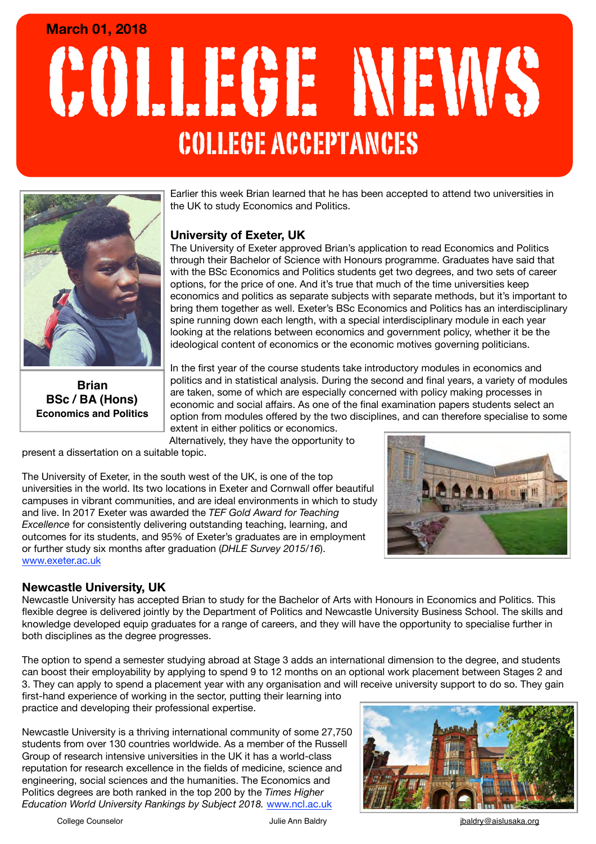# COLLEGE NEWS **March 01, 2018** COLLEGE ACCEPTANCES



**Brian BSc / BA (Hons) Economics and Politics**

Earlier this week Brian learned that he has been accepted to attend two universities in the UK to study Economics and Politics.

# **University of Exeter, UK**

The University of Exeter approved Brian's application to read Economics and Politics through their Bachelor of Science with Honours programme. Graduates have said that with the BSc Economics and Politics students get two degrees, and two sets of career options, for the price of one. And it's true that much of the time universities keep economics and politics as separate subjects with separate methods, but it's important to bring them together as well. Exeter's BSc Economics and Politics has an interdisciplinary spine running down each length, with a special interdisciplinary module in each year looking at the relations between economics and government policy, whether it be the ideological content of economics or the economic motives governing politicians.

In the first year of the course students take introductory modules in economics and politics and in statistical analysis. During the second and final years, a variety of modules are taken, some of which are especially concerned with policy making processes in economic and social affairs. As one of the final examination papers students select an option from modules offered by the two disciplines, and can therefore specialise to some extent in either politics or economics.

Alternatively, they have the opportunity to

present a dissertation on a suitable topic.

The University of Exeter, in the south west of the UK, is one of the top universities in the world. Its two locations in Exeter and Cornwall offer beautiful campuses in vibrant communities, and are ideal environments in which to study and live. In 2017 Exeter was awarded the *TEF Gold Award for Teaching Excellence* for consistently delivering outstanding teaching, learning, and outcomes for its students, and 95% of Exeter's graduates are in employment or further study six months after graduation (*DHLE Survey 2015/16*). [www.exeter.ac.uk](http://www.exeter.ac.uk)

### **Newcastle University, UK**

Newcastle University has accepted Brian to study for the Bachelor of Arts with Honours in Economics and Politics. This flexible degree is delivered jointly by the Department of Politics and Newcastle University Business School. The skills and knowledge developed equip graduates for a range of careers, and they will have the opportunity to specialise further in both disciplines as the degree progresses.

The option to spend a semester studying abroad at Stage 3 adds an international dimension to the degree, and students can boost their employability by applying to spend 9 to 12 months on an optional work placement between Stages 2 and 3. They can apply to spend a placement year with any organisation and will receive university support to do so. They gain

first-hand experience of working in the sector, putting their learning into practice and developing their professional expertise.

Newcastle University is a thriving international community of some 27,750 students from over 130 countries worldwide. As a member of the Russell Group of research intensive universities in the UK it has a world-class reputation for research excellence in the fields of [medicine](http://www.ncl.ac.uk/medicalsciences/?utm_source=Times%20Higher%20Silver%20Profile&utm_medium=Times%20Higher%20website&utm_campaign=THE%20profile), [science and](http://www.ncl.ac.uk/sage/?utm_source=Times%20Higher%20Silver%20Profile&utm_medium=Times%20Higher%20website&utm_campaign=THE%20profile)  [engineering](http://www.ncl.ac.uk/sage/?utm_source=Times%20Higher%20Silver%20Profile&utm_medium=Times%20Higher%20website&utm_campaign=THE%20profile), [social sciences and the humanities](http://www.ncl.ac.uk/hss/?utm_source=Times%20Higher%20Silver%20Profile&utm_medium=Times%20Higher%20website&utm_campaign=THE%20profile). The Economics and Politics degrees are both ranked in the top 200 by the *Times Higher Education World University Rankings by Subject 2018. Www.ncl.ac.uk* 



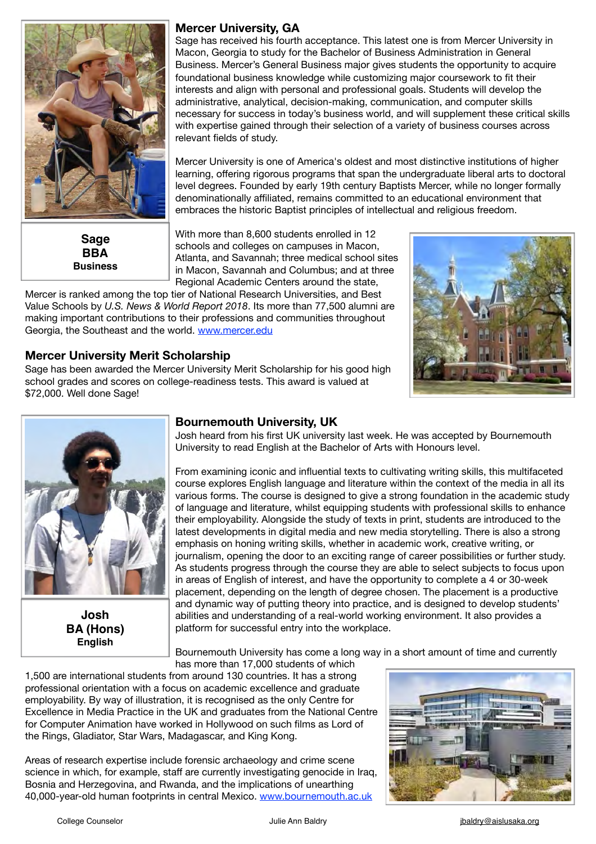

**Sage BBA Business**

#### **Mercer University, GA**

Sage has received his fourth acceptance. This latest one is from Mercer University in Macon, Georgia to study for the Bachelor of Business Administration in General Business. Mercer's General Business major gives students the opportunity to acquire foundational business knowledge while customizing major coursework to fit their interests and align with personal and professional goals. Students will develop the administrative, analytical, decision-making, communication, and computer skills necessary for success in today's business world, and will supplement these critical skills with expertise gained through their selection of a variety of business courses across relevant fields of study.

Mercer University is one of America's oldest and most distinctive institutions of higher learning, offering rigorous programs that span the undergraduate liberal arts to doctoral level degrees. Founded by early 19th century Baptists Mercer, while no longer formally denominationally affiliated, remains committed to an educational environment that embraces the historic Baptist principles of intellectual and religious freedom.

With more than 8,600 students enrolled in 12 schools and colleges on campuses in Macon, Atlanta, and Savannah; three medical school sites in Macon, Savannah and Columbus; and at three Regional Academic Centers around the state,

Mercer is ranked among the top tier of National Research Universities, and Best Value Schools by *U.S. News & World Report 2018*. Its more than 77,500 alumni are making important contributions to their professions and communities throughout Georgia, the Southeast and the world. [www.mercer.edu](http://www.mercer.edu)



### **Mercer University Merit Scholarship**

Sage has been awarded the Mercer University Merit Scholarship for his good high school grades and scores on college-readiness tests. This award is valued at \$72,000. Well done Sage!



**Josh BA (Hons) English**

#### **Bournemouth University, UK**

Josh heard from his first UK university last week. He was accepted by Bournemouth University to read English at the Bachelor of Arts with Honours level.

From examining iconic and influential texts to cultivating writing skills, this multifaceted course explores English language and literature within the context of the media in all its various forms. The course is designed to give a strong foundation in the academic study of language and literature, whilst equipping students with professional skills to enhance their employability. Alongside the study of texts in print, students are introduced to the latest developments in digital media and new media storytelling. There is also a strong emphasis on honing writing skills, whether in academic work, creative writing, or journalism, opening the door to an exciting range of career possibilities or further study. As students progress through the course they are able to select subjects to focus upon in areas of English of interest, and have the opportunity to complete a 4 or 30-week placement, depending on the length of degree chosen. The placement is a productive and dynamic way of putting theory into practice, and is designed to develop students' abilities and understanding of a real-world working environment. It also provides a platform for successful entry into the workplace.

Bournemouth University has come a long way in a short amount of time and currently has more than 17,000 students of which

1,500 are international students from around 130 countries. It has a strong professional orientation with a focus on academic excellence and graduate employability. By way of illustration, it is recognised as the only Centre for Excellence in Media Practice in the UK and graduates from the National Centre for Computer Animation have worked in Hollywood on such films as Lord of the Rings, Gladiator, Star Wars, Madagascar, and King Kong.

Areas of research expertise include forensic archaeology and crime scene science in which, for example, staff are currently investigating genocide in Iraq, Bosnia and Herzegovina, and Rwanda, and the implications of unearthing 40,000-year-old human footprints in central Mexico. [www.bournemouth.ac.uk](http://www.bournemouth.ac.uk)